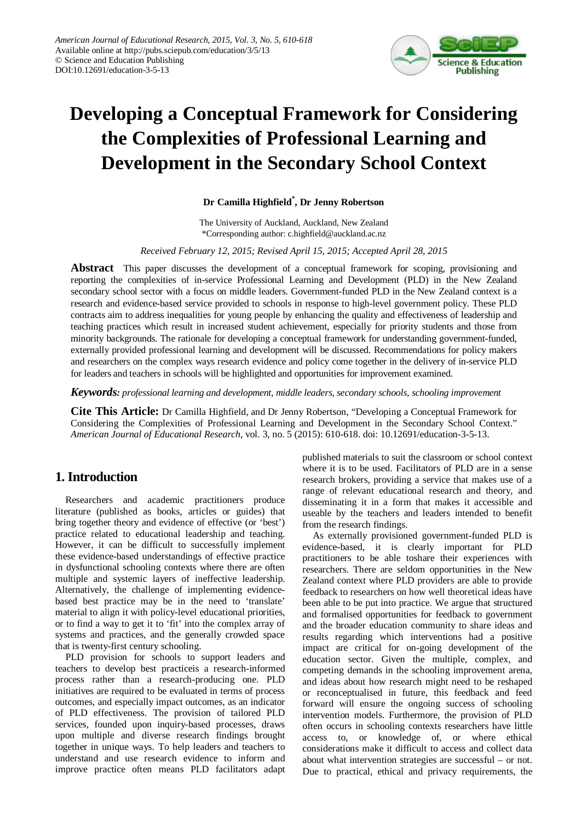

# **Developing a Conceptual Framework for Considering the Complexities of Professional Learning and Development in the Secondary School Context**

# **Dr Camilla Highfield\* , Dr Jenny Robertson**

The University of Auckland, Auckland, New Zealand \*Corresponding author: c.highfield@auckland.ac.nz

#### *Received February 12, 2015; Revised April 15, 2015; Accepted April 28, 2015*

**Abstract** This paper discusses the development of a conceptual framework for scoping, provisioning and reporting the complexities of in-service Professional Learning and Development (PLD) in the New Zealand secondary school sector with a focus on middle leaders. Government-funded PLD in the New Zealand context is a research and evidence-based service provided to schools in response to high-level government policy. These PLD contracts aim to address inequalities for young people by enhancing the quality and effectiveness of leadership and teaching practices which result in increased student achievement, especially for priority students and those from minority backgrounds. The rationale for developing a conceptual framework for understanding government-funded, externally provided professional learning and development will be discussed. Recommendations for policy makers and researchers on the complex ways research evidence and policy come together in the delivery of in-service PLD for leaders and teachers in schools will be highlighted and opportunities for improvement examined.

*Keywords: professional learning and development, middle leaders, secondary schools, schooling improvement*

**Cite This Article:** Dr Camilla Highfield, and Dr Jenny Robertson, "Developing a Conceptual Framework for Considering the Complexities of Professional Learning and Development in the Secondary School Context." *American Journal of Educational Research*, vol. 3, no. 5 (2015): 610-618. doi: 10.12691/education-3-5-13.

# **1. Introduction**

Researchers and academic practitioners produce literature (published as books, articles or guides) that bring together theory and evidence of effective (or 'best') practice related to educational leadership and teaching. However, it can be difficult to successfully implement these evidence-based understandings of effective practice in dysfunctional schooling contexts where there are often multiple and systemic layers of ineffective leadership. Alternatively, the challenge of implementing evidencebased best practice may be in the need to 'translate' material to align it with policy-level educational priorities, or to find a way to get it to 'fit' into the complex array of systems and practices, and the generally crowded space that is twenty-first century schooling.

PLD provision for schools to support leaders and teachers to develop best practiceis a research-informed process rather than a research-producing one. PLD initiatives are required to be evaluated in terms of process outcomes, and especially impact outcomes, as an indicator of PLD effectiveness. The provision of tailored PLD services, founded upon inquiry-based processes, draws upon multiple and diverse research findings brought together in unique ways. To help leaders and teachers to understand and use research evidence to inform and improve practice often means PLD facilitators adapt published materials to suit the classroom or school context where it is to be used. Facilitators of PLD are in a sense research brokers, providing a service that makes use of a range of relevant educational research and theory, and disseminating it in a form that makes it accessible and useable by the teachers and leaders intended to benefit from the research findings.

As externally provisioned government-funded PLD is evidence-based, it is clearly important for PLD practitioners to be able toshare their experiences with researchers. There are seldom opportunities in the New Zealand context where PLD providers are able to provide feedback to researchers on how well theoretical ideas have been able to be put into practice. We argue that structured and formalised opportunities for feedback to government and the broader education community to share ideas and results regarding which interventions had a positive impact are critical for on-going development of the education sector. Given the multiple, complex, and competing demands in the schooling improvement arena, and ideas about how research might need to be reshaped or reconceptualised in future, this feedback and feed forward will ensure the ongoing success of schooling intervention models. Furthermore, the provision of PLD often occurs in schooling contexts researchers have little access to, or knowledge of, or where ethical considerations make it difficult to access and collect data about what intervention strategies are successful – or not. Due to practical, ethical and privacy requirements, the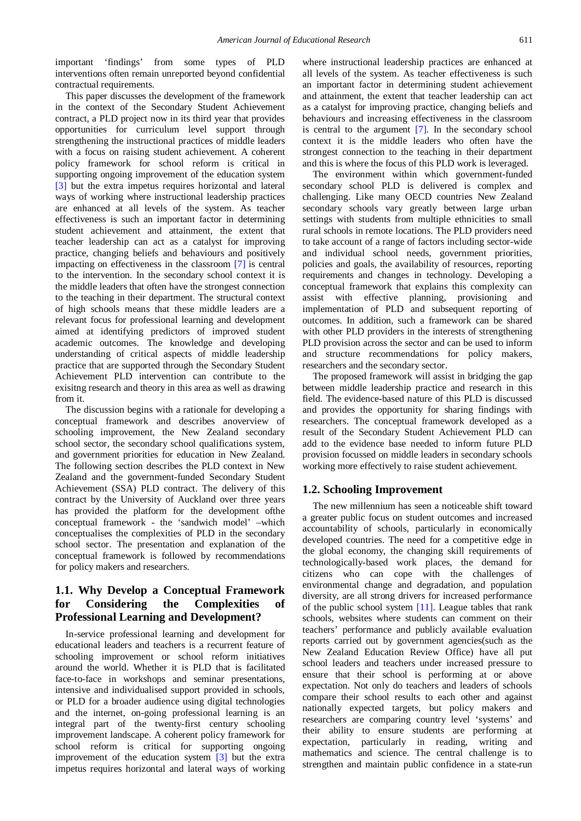important 'findings' from some types of PLD interventions often remain unreported beyond confidential contractual requirements.

This paper discusses the development of the framework in the context of the Secondary Student Achievement contract, a PLD project now in its third year that provides opportunities for curriculum level support through strengthening the instructional practices of middle leaders with a focus on raising student achievement. A coherent policy framework for school reform is critical in supporting ongoing improvement of the education system [\[3\]](#page-8-0) but the extra impetus requires horizontal and lateral ways of working where instructional leadership practices are enhanced at all levels of the system. As teacher effectiveness is such an important factor in determining student achievement and attainment, the extent that teacher leadership can act as a catalyst for improving practice, changing beliefs and behaviours and positively impacting on effectiveness in the classroom [\[7\]](#page-8-1) is central to the intervention. In the secondary school context it is the middle leaders that often have the strongest connection to the teaching in their department. The structural context of high schools means that these middle leaders are a relevant focus for professional learning and development aimed at identifying predictors of improved student academic outcomes. The knowledge and developing understanding of critical aspects of middle leadership practice that are supported through the Secondary Student Achievement PLD intervention can contribute to the exisitng research and theory in this area as well as drawing from it.

The discussion begins with a rationale for developing a conceptual framework and describes anoverview of schooling improvement, the New Zealand secondary school sector, the secondary school qualifications system, and government priorities for education in New Zealand. The following section describes the PLD context in New Zealand and the government-funded Secondary Student Achievement (SSA) PLD contract. The delivery of this contract by the University of Auckland over three years has provided the platform for the development ofthe conceptual framework - the 'sandwich model' –which conceptualises the complexities of PLD in the secondary school sector. The presentation and explanation of the conceptual framework is followed by recommendations for policy makers and researchers.

# **1.1. Why Develop a Conceptual Framework for Considering the Complexities of Professional Learning and Development?**

In-service professional learning and development for educational leaders and teachers is a recurrent feature of schooling improvement or school reform initiatives around the world. Whether it is PLD that is facilitated face-to-face in workshops and seminar presentations, intensive and individualised support provided in schools, or PLD for a broader audience using digital technologies and the internet, on-going professional learning is an integral part of the twenty-first century schooling improvement landscape. A coherent policy framework for school reform is critical for supporting ongoing improvement of the education system [\[3\]](#page-8-0) but the extra impetus requires horizontal and lateral ways of working

where instructional leadership practices are enhanced at all levels of the system. As teacher effectiveness is such an important factor in determining student achievement and attainment, the extent that teacher leadership can act as a catalyst for improving practice, changing beliefs and behaviours and increasing effectiveness in the classroom is central to the argument [\[7\].](#page-8-1) In the secondary school context it is the middle leaders who often have the strongest connection to the teaching in their department and this is where the focus of this PLD work is leveraged.

The environment within which government-funded secondary school PLD is delivered is complex and challenging. Like many OECD countries New Zealand secondary schools vary greatly between large urban settings with students from multiple ethnicities to small rural schools in remote locations. The PLD providers need to take account of a range of factors including sector-wide and individual school needs, government priorities, policies and goals, the availability of resources, reporting requirements and changes in technology. Developing a conceptual framework that explains this complexity can assist with effective planning, provisioning and implementation of PLD and subsequent reporting of outcomes. In addition, such a framework can be shared with other PLD providers in the interests of strengthening PLD provision across the sector and can be used to inform and structure recommendations for policy makers, researchers and the secondary sector.

The proposed framework will assist in bridging the gap between middle leadership practice and research in this field. The evidence-based nature of this PLD is discussed and provides the opportunity for sharing findings with researchers. The conceptual framework developed as a result of the Secondary Student Achievement PLD can add to the evidence base needed to inform future PLD provision focussed on middle leaders in secondary schools working more effectively to raise student achievement.

#### **1.2. Schooling Improvement**

The new millennium has seen a noticeable shift toward a greater public focus on student outcomes and increased accountability of schools, particularly in economically developed countries. The need for a competitive edge in the global economy, the changing skill requirements of technologically-based work places, the demand for citizens who can cope with the challenges of environmental change and degradation, and population diversity, are all strong drivers for increased performance of the public school system [\[11\].](#page-8-2) League tables that rank schools, websites where students can comment on their teachers' performance and publicly available evaluation reports carried out by government agencies(such as the New Zealand Education Review Office) have all put school leaders and teachers under increased pressure to ensure that their school is performing at or above expectation. Not only do teachers and leaders of schools compare their school results to each other and against nationally expected targets, but policy makers and researchers are comparing country level 'systems' and their ability to ensure students are performing at expectation, particularly in reading, writing and mathematics and science. The central challenge is to strengthen and maintain public confidence in a state-run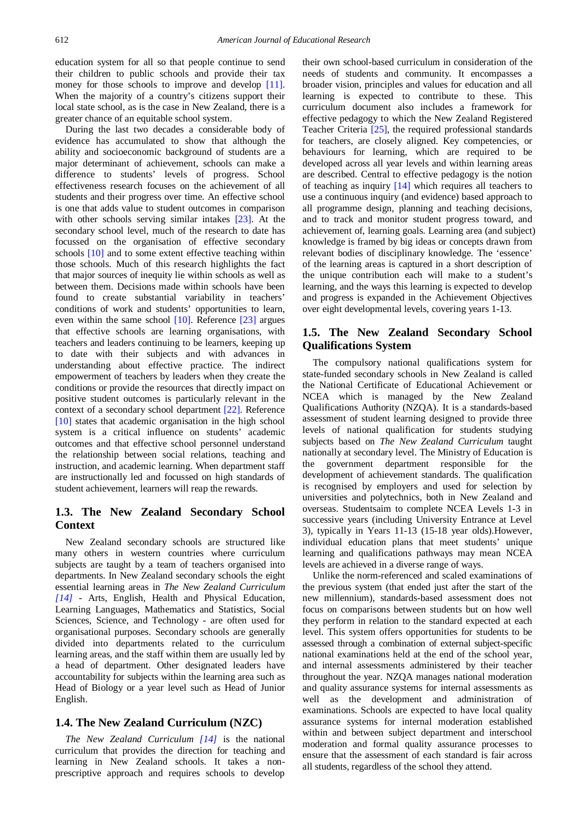education system for all so that people continue to send their children to public schools and provide their tax money for those schools to improve and develop [\[11\].](#page-8-2) When the majority of a country's citizens support their local state school, as is the case in New Zealand, there is a greater chance of an equitable school system.

During the last two decades a considerable body of evidence has accumulated to show that although the ability and socioeconomic background of students are a major determinant of achievement, schools can make a difference to students' levels of progress. School effectiveness research focuses on the achievement of all students and their progress over time. An effective school is one that adds value to student outcomes in comparison with other schools serving similar intakes [\[23\].](#page-8-3) At the secondary school level, much of the research to date has focussed on the organisation of effective secondary schools [\[10\]](#page-8-4) and to some extent effective teaching within those schools. Much of this research highlights the fact that major sources of inequity lie within schools as well as between them. Decisions made within schools have been found to create substantial variability in teachers' conditions of work and students' opportunities to learn, even within the same school [\[10\].](#page-8-4) Reference [\[23\]](#page-8-3) argues that effective schools are learning organisations, with teachers and leaders continuing to be learners, keeping up to date with their subjects and with advances in understanding about effective practice. The indirect empowerment of teachers by leaders when they create the conditions or provide the resources that directly impact on positive student outcomes is particularly relevant in the context of a secondary school department [\[22\].](#page-8-5) Reference [\[10\]](#page-8-4) states that academic organisation in the high school system is a critical influence on students' academic outcomes and that effective school personnel understand the relationship between social relations, teaching and instruction, and academic learning. When department staff are instructionally led and focussed on high standards of student achievement, learners will reap the rewards.

## **1.3. The New Zealand Secondary School Context**

New Zealand secondary schools are structured like many others in western countries where curriculum subjects are taught by a team of teachers organised into departments. In New Zealand secondary schools the eight essential learning areas in *The New Zealand Curriculum [\[14\]](#page-8-6)* - Arts, English, Health and Physical Education, Learning Languages, Mathematics and Statistics, Social Sciences, Science, and Technology - are often used for organisational purposes. Secondary schools are generally divided into departments related to the curriculum learning areas, and the staff within them are usually led by a head of department. Other designated leaders have accountability for subjects within the learning area such as Head of Biology or a year level such as Head of Junior English.

#### **1.4. The New Zealand Curriculum (NZC)**

*The New Zealand Curriculum [\[14\]](#page-8-6)* is the national curriculum that provides the direction for teaching and learning in New Zealand schools. It takes a nonprescriptive approach and requires schools to develop their own school-based curriculum in consideration of the needs of students and community. It encompasses a broader vision, principles and values for education and all learning is expected to contribute to these. This curriculum document also includes a framework for effective pedagogy to which the New Zealand Registered Teacher Criteria [\[25\],](#page-8-7) the required professional standards for teachers, are closely aligned. Key competencies, or behaviours for learning, which are required to be developed across all year levels and within learning areas are described. Central to effective pedagogy is the notion of teaching as inquiry [\[14\]](#page-8-6) which requires all teachers to use a continuous inquiry (and evidence) based approach to all programme design, planning and teaching decisions, and to track and monitor student progress toward, and achievement of, learning goals. Learning area (and subject) knowledge is framed by big ideas or concepts drawn from relevant bodies of disciplinary knowledge. The 'essence' of the learning areas is captured in a short description of the unique contribution each will make to a student's learning, and the ways this learning is expected to develop and progress is expanded in the Achievement Objectives over eight developmental levels, covering years 1-13.

# **1.5. The New Zealand Secondary School Qualifications System**

The compulsory national qualifications system for state-funded secondary schools in New Zealand is called the National Certificate of Educational Achievement or NCEA which is managed by the New Zealand Qualifications Authority (NZQA). It is a standards-based assessment of student learning designed to provide three levels of national qualification for students studying subjects based on *The New Zealand Curriculum* taught nationally at secondary level. The Ministry of Education is the government department responsible for the development of achievement standards. The qualification is recognised by employers and used for selection by universities and polytechnics, both in New Zealand and overseas. Studentsaim to complete NCEA Levels 1-3 in successive years (including University Entrance at Level 3), typically in Years 11-13 (15-18 year olds).However, individual education plans that meet students' unique learning and qualifications pathways may mean NCEA levels are achieved in a diverse range of ways.

Unlike the norm-referenced and scaled examinations of the previous system (that ended just after the start of the new millennium), standards-based assessment does not focus on comparisons between students but on how well they perform in relation to the standard expected at each level. This system offers opportunities for students to be assessed through a combination of external subject-specific national examinations held at the end of the school year, and internal assessments administered by their teacher throughout the year. NZQA manages national moderation and quality assurance systems for internal assessments as well as the development and administration of examinations. Schools are expected to have local quality assurance systems for internal moderation established within and between subject department and interschool moderation and formal quality assurance processes to ensure that the assessment of each standard is fair across all students, regardless of the school they attend.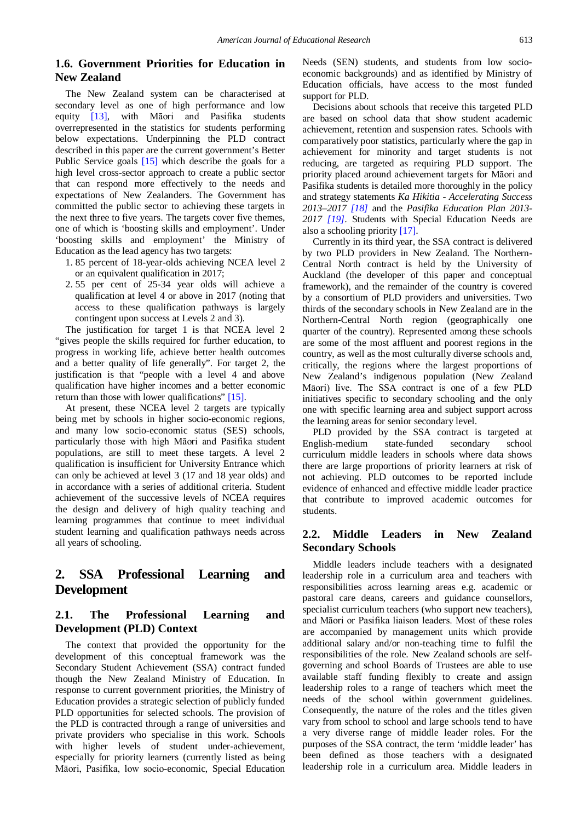# **1.6. Government Priorities for Education in New Zealand**

The New Zealand system can be characterised at secondary level as one of high performance and low equity [\[13\],](#page-8-8) with Māori and Pasifika students overrepresented in the statistics for students performing below expectations. Underpinning the PLD contract described in this paper are the current government's Better Public Service goals [\[15\]](#page-8-9) which describe the goals for a high level cross-sector approach to create a public sector that can respond more effectively to the needs and expectations of New Zealanders. The Government has committed the public sector to achieving these targets in the next three to five years. The targets cover five themes, one of which is 'boosting skills and employment'. Under 'boosting skills and employment' the Ministry of Education as the lead agency has two targets:

- 1. 85 percent of 18-year-olds achieving NCEA level 2 or an equivalent qualification in 2017;
- 2. 55 per cent of 25-34 year olds will achieve a qualification at level 4 or above in 2017 (noting that access to these qualification pathways is largely contingent upon success at Levels 2 and 3).

The justification for target 1 is that NCEA level 2 "gives people the skills required for further education, to progress in working life, achieve better health outcomes and a better quality of life generally". For target 2, the justification is that "people with a level 4 and above qualification have higher incomes and a better economic return than those with lower qualifications" [\[15\].](#page-8-9)

At present, these NCEA level 2 targets are typically being met by schools in higher socio-economic regions, and many low socio-economic status (SES) schools, particularly those with high Māori and Pasifika student populations, are still to meet these targets. A level 2 qualification is insufficient for University Entrance which can only be achieved at level 3 (17 and 18 year olds) and in accordance with a series of additional criteria. Student achievement of the successive levels of NCEA requires the design and delivery of high quality teaching and learning programmes that continue to meet individual student learning and qualification pathways needs across all years of schooling.

# **2. SSA Professional Learning and Development**

# **2.1. The Professional Learning and Development (PLD) Context**

The context that provided the opportunity for the development of this conceptual framework was the Secondary Student Achievement (SSA) contract funded though the New Zealand Ministry of Education. In response to current government priorities, the Ministry of Education provides a strategic selection of publicly funded PLD opportunities for selected schools. The provision of the PLD is contracted through a range of universities and private providers who specialise in this work. Schools with higher levels of student under-achievement, especially for priority learners (currently listed as being Māori, Pasifika, low socio-economic, Special Education Needs (SEN) students, and students from low socioeconomic backgrounds) and as identified by Ministry of Education officials, have access to the most funded support for PLD.

Decisions about schools that receive this targeted PLD are based on school data that show student academic achievement, retention and suspension rates. Schools with comparatively poor statistics, particularly where the gap in achievement for minority and target students is not reducing, are targeted as requiring PLD support. The priority placed around achievement targets for Māori and Pasifika students is detailed more thoroughly in the policy and strategy statements *Ka Hikitia - Accelerating Success 2013–2017 [\[18\]](#page-8-10)* and the *Pasifika Education Plan 2013- 2017 [\[19\]](#page-8-11)*. Students with Special Education Needs are also a schooling priorit[y \[17\].](#page-8-12)

Currently in its third year, the SSA contract is delivered by two PLD providers in New Zealand. The Northern-Central North contract is held by the University of Auckland (the developer of this paper and conceptual framework), and the remainder of the country is covered by a consortium of PLD providers and universities. Two thirds of the secondary schools in New Zealand are in the Northern-Central North region (geographically one quarter of the country). Represented among these schools are some of the most affluent and poorest regions in the country, as well as the most culturally diverse schools and, critically, the regions where the largest proportions of New Zealand's indigenous population (New Zealand Māori) live. The SSA contract is one of a few PLD initiatives specific to secondary schooling and the only one with specific learning area and subject support across the learning areas for senior secondary level.

PLD provided by the SSA contract is targeted at English-medium state-funded secondary school curriculum middle leaders in schools where data shows there are large proportions of priority learners at risk of not achieving. PLD outcomes to be reported include evidence of enhanced and effective middle leader practice that contribute to improved academic outcomes for students.

# **2.2. Middle Leaders in New Zealand Secondary Schools**

Middle leaders include teachers with a designated leadership role in a curriculum area and teachers with responsibilities across learning areas e.g. academic or pastoral care deans, careers and guidance counsellors, specialist curriculum teachers (who support new teachers), and Māori or Pasifika liaison leaders. Most of these roles are accompanied by management units which provide additional salary and/or non-teaching time to fulfil the responsibilities of the role. New Zealand schools are selfgoverning and school Boards of Trustees are able to use available staff funding flexibly to create and assign leadership roles to a range of teachers which meet the needs of the school within government guidelines. Consequently, the nature of the roles and the titles given vary from school to school and large schools tend to have a very diverse range of middle leader roles. For the purposes of the SSA contract, the term 'middle leader' has been defined as those teachers with a designated leadership role in a curriculum area. Middle leaders in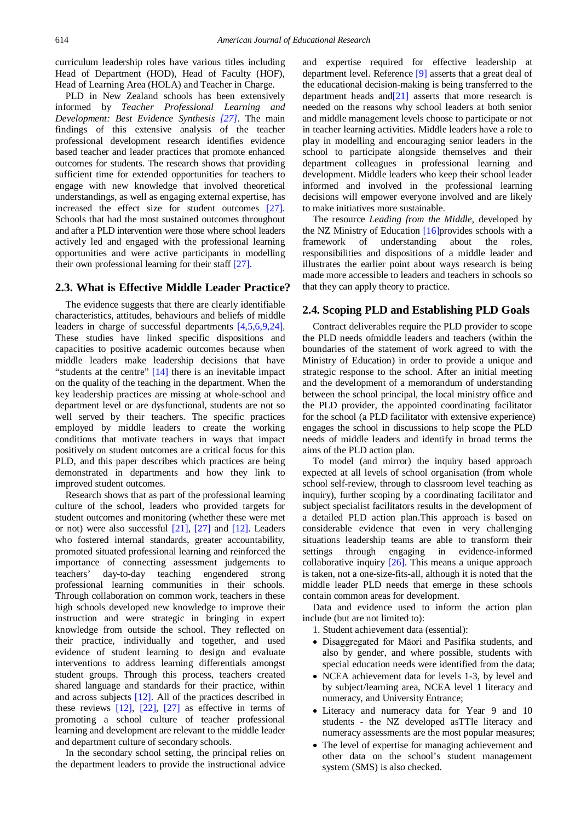curriculum leadership roles have various titles including Head of Department (HOD), Head of Faculty (HOF), Head of Learning Area (HOLA) and Teacher in Charge.

PLD in New Zealand schools has been extensively informed by *Teacher Professional Learning and Development: Best Evidence Synthesis [\[27\]](#page-8-13)*. The main findings of this extensive analysis of the teacher professional development research identifies evidence based teacher and leader practices that promote enhanced outcomes for students. The research shows that providing sufficient time for extended opportunities for teachers to engage with new knowledge that involved theoretical understandings, as well as engaging external expertise, has increased the effect size for student outcomes [\[27\].](#page-8-13) Schools that had the most sustained outcomes throughout and after a PLD intervention were those where school leaders actively led and engaged with the professional learning opportunities and were active participants in modelling their own professional learning for their staff [\[27\].](#page-8-13)

#### **2.3. What is Effective Middle Leader Practice?**

The evidence suggests that there are clearly identifiable characteristics, attitudes, behaviours and beliefs of middle leaders in charge of successful departments [\[4,5,6,9,24\].](#page-8-14) These studies have linked specific dispositions and capacities to positive academic outcomes because when middle leaders make leadership decisions that have "students at the centre" [\[14\]](#page-8-6) there is an inevitable impact on the quality of the teaching in the department. When the key leadership practices are missing at whole-school and department level or are dysfunctional, students are not so well served by their teachers. The specific practices employed by middle leaders to create the working conditions that motivate teachers in ways that impact positively on student outcomes are a critical focus for this PLD, and this paper describes which practices are being demonstrated in departments and how they link to improved student outcomes.

Research shows that as part of the professional learning culture of the school, leaders who provided targets for student outcomes and monitoring (whether these were met or not) were also successful [\[21\],](#page-8-15) [\[27\]](#page-8-13) and [\[12\].](#page-8-16) Leaders who fostered internal standards, greater accountability, promoted situated professional learning and reinforced the importance of connecting assessment judgements to teachers' day-to-day teaching engendered strong professional learning communities in their schools. Through collaboration on common work, teachers in these high schools developed new knowledge to improve their instruction and were strategic in bringing in expert knowledge from outside the school. They reflected on their practice, individually and together, and used evidence of student learning to design and evaluate interventions to address learning differentials amongst student groups. Through this process, teachers created shared language and standards for their practice, within and across subjects [\[12\].](#page-8-16) All of the practices described in these reviews [\[12\],](#page-8-16) [\[22\],](#page-8-5) [\[27\]](#page-8-13) as effective in terms of promoting a school culture of teacher professional learning and development are relevant to the middle leader and department culture of secondary schools.

In the secondary school setting, the principal relies on the department leaders to provide the instructional advice and expertise required for effective leadership at department level. Reference [\[9\]](#page-8-17) asserts that a great deal of the educational decision-making is being transferred to the department heads an[d\[21\]](#page-8-15) asserts that more research is needed on the reasons why school leaders at both senior and middle management levels choose to participate or not in teacher learning activities. Middle leaders have a role to play in modelling and encouraging senior leaders in the school to participate alongside themselves and their department colleagues in professional learning and development. Middle leaders who keep their school leader informed and involved in the professional learning decisions will empower everyone involved and are likely to make initiatives more sustainable.

The resource *Leading from the Middle,* developed by the NZ Ministry of Education [\[16\]p](#page-8-18)rovides schools with a framework of understanding about the roles, responsibilities and dispositions of a middle leader and illustrates the earlier point about ways research is being made more accessible to leaders and teachers in schools so that they can apply theory to practice.

#### **2.4. Scoping PLD and Establishing PLD Goals**

Contract deliverables require the PLD provider to scope the PLD needs ofmiddle leaders and teachers (within the boundaries of the statement of work agreed to with the Ministry of Education) in order to provide a unique and strategic response to the school. After an initial meeting and the development of a memorandum of understanding between the school principal, the local ministry office and the PLD provider, the appointed coordinating facilitator for the school (a PLD facilitator with extensive experience) engages the school in discussions to help scope the PLD needs of middle leaders and identify in broad terms the aims of the PLD action plan.

To model (and mirror) the inquiry based approach expected at all levels of school organisation (from whole school self-review, through to classroom level teaching as inquiry), further scoping by a coordinating facilitator and subject specialist facilitators results in the development of a detailed PLD action plan.This approach is based on considerable evidence that even in very challenging situations leadership teams are able to transform their settings through engaging in evidence-informed collaborative inquiry [\[26\].](#page-8-19) This means a unique approach is taken, not a one-size-fits-all, although it is noted that the middle leader PLD needs that emerge in these schools contain common areas for development.

Data and evidence used to inform the action plan include (but are not limited to):

- 1. Student achievement data (essential):
- Disaggregated for Māori and Pasifika students, and also by gender, and where possible, students with special education needs were identified from the data;
- NCEA achievement data for levels 1-3, by level and by subject/learning area, NCEA level 1 literacy and numeracy, and University Entrance;
- Literacy and numeracy data for Year 9 and 10 students - the NZ developed asTTle literacy and numeracy assessments are the most popular measures;
- The level of expertise for managing achievement and other data on the school's student management system (SMS) is also checked.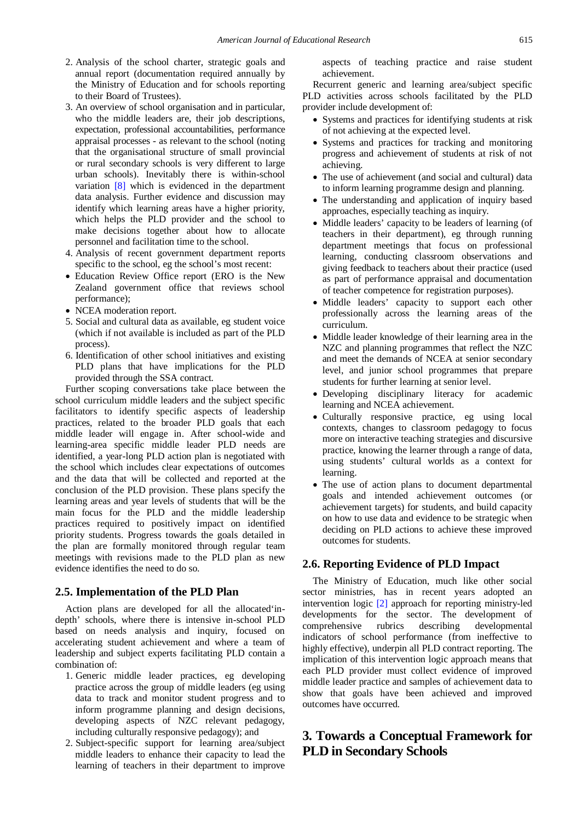- 2. Analysis of the school charter, strategic goals and annual report (documentation required annually by the Ministry of Education and for schools reporting to their Board of Trustees).
- 3. An overview of school organisation and in particular, who the middle leaders are, their job descriptions, expectation, professional accountabilities, performance appraisal processes - as relevant to the school (noting that the organisational structure of small provincial or rural secondary schools is very different to large urban schools). Inevitably there is within-school variation [\[8\]](#page-8-20) which is evidenced in the department data analysis. Further evidence and discussion may identify which learning areas have a higher priority, which helps the PLD provider and the school to make decisions together about how to allocate personnel and facilitation time to the school.
- 4. Analysis of recent government department reports specific to the school, eg the school's most recent:
- Education Review Office report (ERO is the New Zealand government office that reviews school performance);
- NCEA moderation report.
- 5. Social and cultural data as available, eg student voice (which if not available is included as part of the PLD process).
- 6. Identification of other school initiatives and existing PLD plans that have implications for the PLD provided through the SSA contract.

Further scoping conversations take place between the school curriculum middle leaders and the subject specific facilitators to identify specific aspects of leadership practices, related to the broader PLD goals that each middle leader will engage in. After school-wide and learning-area specific middle leader PLD needs are identified, a year-long PLD action plan is negotiated with the school which includes clear expectations of outcomes and the data that will be collected and reported at the conclusion of the PLD provision. These plans specify the learning areas and year levels of students that will be the main focus for the PLD and the middle leadership practices required to positively impact on identified priority students. Progress towards the goals detailed in the plan are formally monitored through regular team meetings with revisions made to the PLD plan as new evidence identifies the need to do so.

#### **2.5. Implementation of the PLD Plan**

Action plans are developed for all the allocated'indepth' schools, where there is intensive in-school PLD based on needs analysis and inquiry, focused on accelerating student achievement and where a team of leadership and subject experts facilitating PLD contain a combination of:

- 1. Generic middle leader practices, eg developing practice across the group of middle leaders (eg using data to track and monitor student progress and to inform programme planning and design decisions, developing aspects of NZC relevant pedagogy, including culturally responsive pedagogy); and
- 2. Subject-specific support for learning area/subject middle leaders to enhance their capacity to lead the learning of teachers in their department to improve

aspects of teaching practice and raise student achievement.

Recurrent generic and learning area/subject specific PLD activities across schools facilitated by the PLD provider include development of:

- Systems and practices for identifying students at risk of not achieving at the expected level.
- Systems and practices for tracking and monitoring progress and achievement of students at risk of not achieving.
- The use of achievement (and social and cultural) data to inform learning programme design and planning.
- The understanding and application of inquiry based approaches, especially teaching as inquiry.
- Middle leaders' capacity to be leaders of learning (of teachers in their department), eg through running department meetings that focus on professional learning, conducting classroom observations and giving feedback to teachers about their practice (used as part of performance appraisal and documentation of teacher competence for registration purposes).
- Middle leaders' capacity to support each other professionally across the learning areas of the curriculum.
- Middle leader knowledge of their learning area in the NZC and planning programmes that reflect the NZC and meet the demands of NCEA at senior secondary level, and junior school programmes that prepare students for further learning at senior level.
- Developing disciplinary literacy for academic learning and NCEA achievement.
- Culturally responsive practice, eg using local contexts, changes to classroom pedagogy to focus more on interactive teaching strategies and discursive practice, knowing the learner through a range of data, using students' cultural worlds as a context for learning.
- The use of action plans to document departmental goals and intended achievement outcomes (or achievement targets) for students, and build capacity on how to use data and evidence to be strategic when deciding on PLD actions to achieve these improved outcomes for students.

#### **2.6. Reporting Evidence of PLD Impact**

The Ministry of Education, much like other social sector ministries, has in recent years adopted an intervention logic [\[2\]](#page-8-21) approach for reporting ministry-led developments for the sector. The development of comprehensive rubrics describing developmental indicators of school performance (from ineffective to highly effective), underpin all PLD contract reporting. The implication of this intervention logic approach means that each PLD provider must collect evidence of improved middle leader practice and samples of achievement data to show that goals have been achieved and improved outcomes have occurred.

# **3. Towards a Conceptual Framework for PLD in Secondary Schools**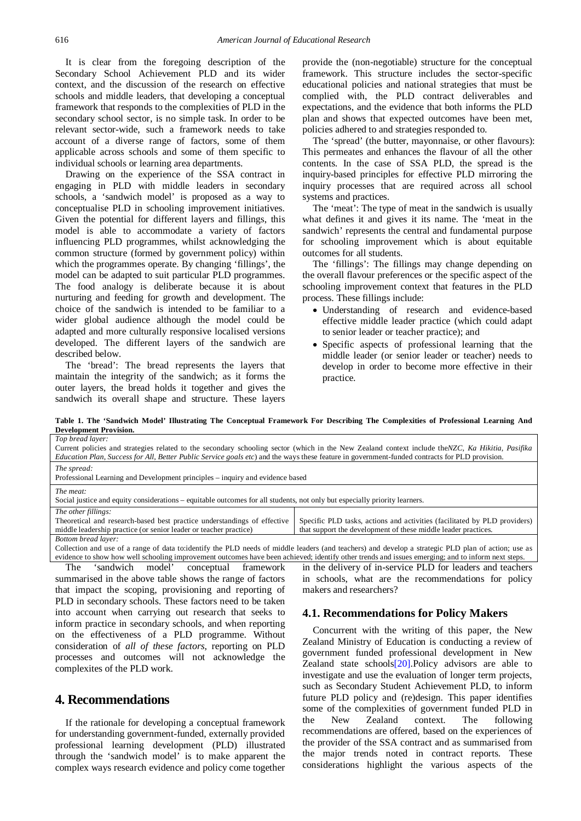It is clear from the foregoing description of the Secondary School Achievement PLD and its wider context, and the discussion of the research on effective schools and middle leaders, that developing a conceptual framework that responds to the complexities of PLD in the secondary school sector, is no simple task. In order to be relevant sector-wide, such a framework needs to take account of a diverse range of factors, some of them applicable across schools and some of them specific to individual schools or learning area departments.

Drawing on the experience of the SSA contract in engaging in PLD with middle leaders in secondary schools, a 'sandwich model' is proposed as a way to conceptualise PLD in schooling improvement initiatives. Given the potential for different layers and fillings, this model is able to accommodate a variety of factors influencing PLD programmes, whilst acknowledging the common structure (formed by government policy) within which the programmes operate. By changing 'fillings', the model can be adapted to suit particular PLD programmes. The food analogy is deliberate because it is about nurturing and feeding for growth and development. The choice of the sandwich is intended to be familiar to a wider global audience although the model could be adapted and more culturally responsive localised versions developed. The different layers of the sandwich are described below.

The 'bread': The bread represents the layers that maintain the integrity of the sandwich; as it forms the outer layers, the bread holds it together and gives the sandwich its overall shape and structure. These layers

provide the (non-negotiable) structure for the conceptual framework. This structure includes the sector-specific educational policies and national strategies that must be complied with, the PLD contract deliverables and expectations, and the evidence that both informs the PLD plan and shows that expected outcomes have been met, policies adhered to and strategies responded to.

The 'spread' (the butter, mayonnaise, or other flavours): This permeates and enhances the flavour of all the other contents. In the case of SSA PLD, the spread is the inquiry-based principles for effective PLD mirroring the inquiry processes that are required across all school systems and practices.

The 'meat': The type of meat in the sandwich is usually what defines it and gives it its name. The 'meat in the sandwich' represents the central and fundamental purpose for schooling improvement which is about equitable outcomes for all students.

The 'fillings': The fillings may change depending on the overall flavour preferences or the specific aspect of the schooling improvement context that features in the PLD process. These fillings include:

- Understanding of research and evidence-based effective middle leader practice (which could adapt to senior leader or teacher practice); and
- Specific aspects of professional learning that the middle leader (or senior leader or teacher) needs to develop in order to become more effective in their practice.

**Table 1. The 'Sandwich Model' Illustrating The Conceptual Framework For Describing The Complexities of Professional Learning And Development Provision.**

<span id="page-6-0"></span>

| Top bread layer:                                                                                                                                    |                                                                           |
|-----------------------------------------------------------------------------------------------------------------------------------------------------|---------------------------------------------------------------------------|
| Current policies and strategies related to the secondary schooling sector (which in the New Zealand context include the NZC, Ka Hikitia, Pasifika   |                                                                           |
| Education Plan, Success for All, Better Public Service goals etc) and the ways these feature in government-funded contracts for PLD provision.      |                                                                           |
| The spread:                                                                                                                                         |                                                                           |
| Professional Learning and Development principles – inquiry and evidence based                                                                       |                                                                           |
| The meat:                                                                                                                                           |                                                                           |
| Social justice and equity considerations – equitable outcomes for all students, not only but especially priority learners.                          |                                                                           |
| The other fillings:                                                                                                                                 |                                                                           |
| Theoretical and research-based best practice understandings of effective                                                                            | Specific PLD tasks, actions and activities (facilitated by PLD providers) |
| middle leadership practice (or senior leader or teacher practice)                                                                                   | that support the development of these middle leader practices.            |
| Bottom bread layer:                                                                                                                                 |                                                                           |
| Collection and use of a range of data to:identify the PLD needs of middle leaders (and teachers) and develop a strategic PLD plan of action: use as |                                                                           |

Collection and use of a range of data to:identify the PLD needs of middle leaders (and teachers) and develop a strategic PLD plan of action; use as evidence to show how well schooling improvement outcomes have been achieved; identify other trends and issues emerging; and to inform next steps.

The 'sandwich model' conceptual framework summarised in the above table shows the range of factors that impact the scoping, provisioning and reporting of PLD in secondary schools. These factors need to be taken into account when carrying out research that seeks to inform practice in secondary schools, and when reporting on the effectiveness of a PLD programme. Without consideration of *all of these factors*, reporting on PLD processes and outcomes will not acknowledge the complexites of the PLD work.

# **4. Recommendations**

If the rationale for developing a conceptual framework for understanding government-funded, externally provided professional learning development (PLD) illustrated through the 'sandwich model' is to make apparent the complex ways research evidence and policy come together

in the delivery of in-service PLD for leaders and teachers in schools, what are the recommendations for policy makers and researchers?

#### **4.1. Recommendations for Policy Makers**

Concurrent with the writing of this paper, the New Zealand Ministry of Education is conducting a review of government funded professional development in New Zealand state schools $[20]$ . Policy advisors are able to investigate and use the evaluation of longer term projects, such as Secondary Student Achievement PLD, to inform future PLD policy and (re)design. This paper identifies some of the complexities of government funded PLD in the New Zealand context. The following recommendations are offered, based on the experiences of the provider of the SSA contract and as summarised from the major trends noted in contract reports. These considerations highlight the various aspects of the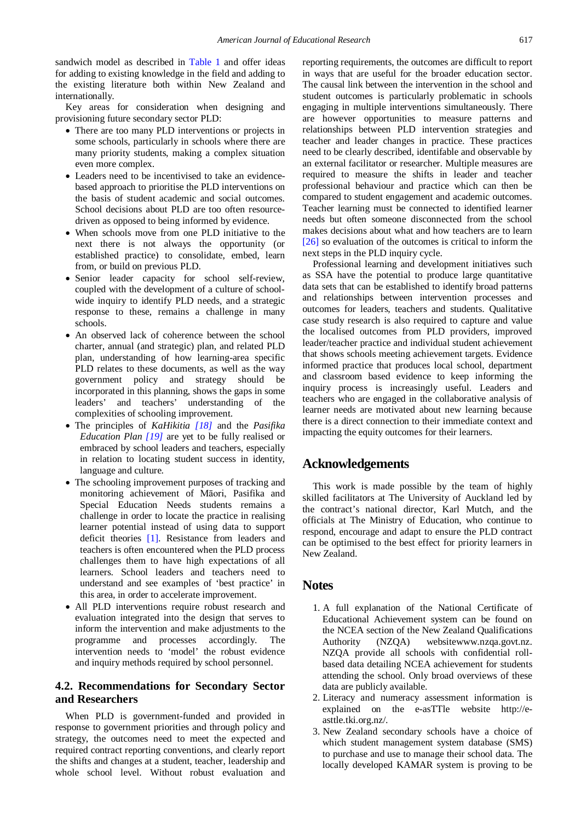sandwich model as described in [Table 1](#page-6-0) and offer ideas for adding to existing knowledge in the field and adding to the existing literature both within New Zealand and internationally.

Key areas for consideration when designing and provisioning future secondary sector PLD:

- There are too many PLD interventions or projects in some schools, particularly in schools where there are many priority students, making a complex situation even more complex.
- Leaders need to be incentivised to take an evidencebased approach to prioritise the PLD interventions on the basis of student academic and social outcomes. School decisions about PLD are too often resourcedriven as opposed to being informed by evidence.
- When schools move from one PLD initiative to the next there is not always the opportunity (or established practice) to consolidate, embed, learn from, or build on previous PLD.
- Senior leader capacity for school self-review, coupled with the development of a culture of schoolwide inquiry to identify PLD needs, and a strategic response to these, remains a challenge in many schools.
- An observed lack of coherence between the school charter, annual (and strategic) plan, and related PLD plan, understanding of how learning-area specific PLD relates to these documents, as well as the way government policy and strategy should be incorporated in this planning, shows the gaps in some leaders' and teachers' understanding of the complexities of schooling improvement.
- The principles of *KaHikitia [\[18\]](#page-8-10)* and the *Pasifika Education Plan [\[19\]](#page-8-11)* are yet to be fully realised or embraced by school leaders and teachers, especially in relation to locating student success in identity, language and culture.
- The schooling improvement purposes of tracking and monitoring achievement of Māori, Pasifika and Special Education Needs students remains a challenge in order to locate the practice in realising learner potential instead of using data to support deficit theories [\[1\].](#page-8-23) Resistance from leaders and teachers is often encountered when the PLD process challenges them to have high expectations of all learners. School leaders and teachers need to understand and see examples of 'best practice' in this area, in order to accelerate improvement.
- All PLD interventions require robust research and evaluation integrated into the design that serves to inform the intervention and make adjustments to the programme and processes accordingly. The intervention needs to 'model' the robust evidence and inquiry methods required by school personnel.

## **4.2. Recommendations for Secondary Sector and Researchers**

When PLD is government-funded and provided in response to government priorities and through policy and strategy, the outcomes need to meet the expected and required contract reporting conventions, and clearly report the shifts and changes at a student, teacher, leadership and whole school level. Without robust evaluation and reporting requirements, the outcomes are difficult to report in ways that are useful for the broader education sector. The causal link between the intervention in the school and student outcomes is particularly problematic in schools engaging in multiple interventions simultaneously. There are however opportunities to measure patterns and relationships between PLD intervention strategies and teacher and leader changes in practice. These practices need to be clearly described, identifable and observable by an external facilitator or researcher. Multiple measures are required to measure the shifts in leader and teacher professional behaviour and practice which can then be compared to student engagement and academic outcomes. Teacher learning must be connected to identified learner needs but often someone disconnected from the school makes decisions about what and how teachers are to learn [\[26\]](#page-8-19) so evaluation of the outcomes is critical to inform the next steps in the PLD inquiry cycle.

Professional learning and development initiatives such as SSA have the potential to produce large quantitative data sets that can be established to identify broad patterns and relationships between intervention processes and outcomes for leaders, teachers and students. Qualitative case study research is also required to capture and value the localised outcomes from PLD providers, improved leader/teacher practice and individual student achievement that shows schools meeting achievement targets. Evidence informed practice that produces local school, department and classroom based evidence to keep informing the inquiry process is increasingly useful. Leaders and teachers who are engaged in the collaborative analysis of learner needs are motivated about new learning because there is a direct connection to their immediate context and impacting the equity outcomes for their learners.

# **Acknowledgements**

This work is made possible by the team of highly skilled facilitators at The University of Auckland led by the contract's national director, Karl Mutch, and the officials at The Ministry of Education, who continue to respond, encourage and adapt to ensure the PLD contract can be optimised to the best effect for priority learners in New Zealand.

# **Notes**

- 1. A full explanation of the National Certificate of Educational Achievement system can be found on the NCEA section of the New Zealand Qualifications Authority (NZQA) websitewww.nzqa.govt.nz. NZQA provide all schools with confidential rollbased data detailing NCEA achievement for students attending the school. Only broad overviews of these data are publicly available.
- 2. Literacy and numeracy assessment information is explained on the e-asTTle website http://easttle.tki.org.nz/.
- 3. New Zealand secondary schools have a choice of which student management system database (SMS) to purchase and use to manage their school data. The locally developed KAMAR system is proving to be